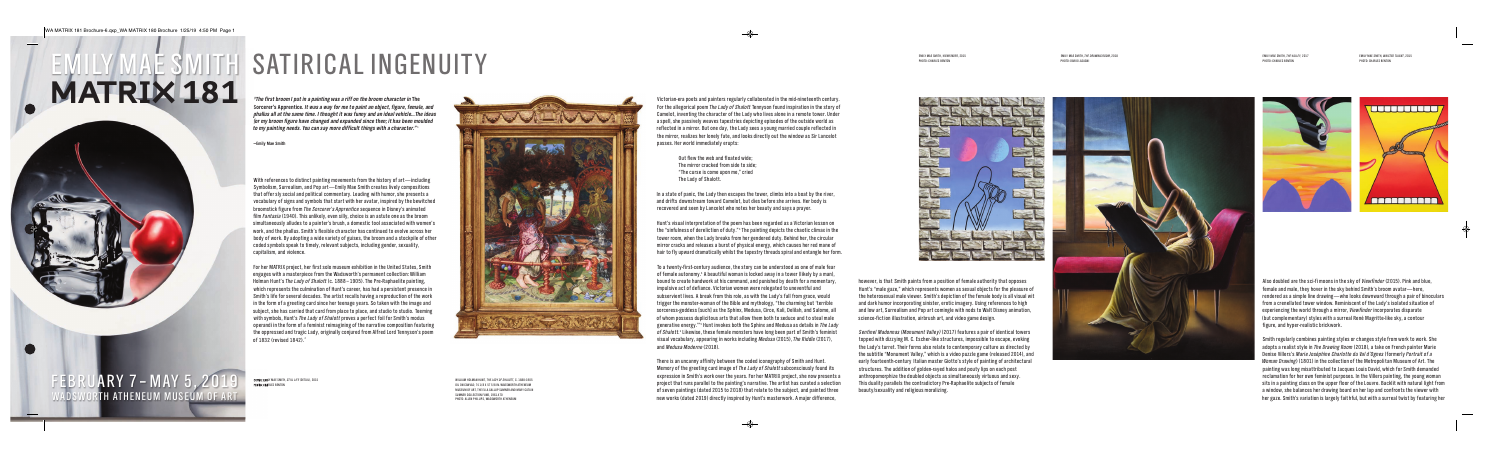Also doubled are the sci-fi moons in the sky of Viewfinder (2015). Pink and blue **l l i i i . i l ,** female and male, they hover in the sky behind Smith's broom avatar—here **l l , i i i ' ,**  $\,$ rendered as a simple line drawing $-\,$ who looks downward through a pair of binocular $\,$ **i l l i i l i i l** from a crenellated tower window. Reminiscent of the Lady's isolated situation of **l l i . i i ' i l i i** experiencing the world through a mirror, Viewfinder incorporates disparate **i i l i , i i** (but comple mentary) styles with a surreal René Magritte-like sky, a contour **l l i l i l i ,** figure, and hyper-realistic brickwork **i , l i i i .**

Smith regularly combines painting styles or changes style from work to work. She **i l l i i i l l .** adopts a realist style in The Drawing Room (2018), a take on French painter Marie **l i l i** *i* **, i i** Denise Villers's Marie Joséphine Charlotte du Val d'Ognes (formerly Portrait of a **i i l l '** *i i l l '* **l** *i* Woman Drawing) (1801) in the collection of the Metropolitan Museum of Art. The *i* **i l l i l i .** painting was long misattributed to Jacques Louis David, which for Smith demanded **i i l i i i i , i i** reclamation for her own feminist purposes. In the Villers painting, the young woman **l i i i . i l l i i ,** sits in a painting class on the upper floor of the Louvre. Backlit with natural light from **i i i i l l . l i i l l i** a window, she balances her drawing board on her lap and confronts the viewer with **i , l i l i i** her gaze. Smith's variation is largely faithful, but with a surreal twist by featuring hei **. i ' i i i l l i l , i l i i**







COVER: EMILY MAE SMITH, STILL LIFE (DETAIL), 2015 **: , , PHOTO: CHARLES BENTON :**

With references to distinct painting movements from the history of  $\operatorname{\sf art}$ —including **i i i i i i i l i** Symbolism, Surrealism, and Pop art—Emily Mae Smith creates lively compositions **l i , l i , i l i l i l i i** that offer sly social and political commentary. Leading with humor, she presents a **l i l l i i l . i i ,** vocabulary of signs and symbols that start with her avatar, inspired by the bewitched **l i l i , i i i** broomstick figure from *The Sorcerer's Apprentice* sequence in Disney's animated **i i** *i* **i i ' i** film Fantasia (1940). This unlikely, even silly, choice is an astute one as the broom **i l** *i* **. i l i l , i l l , i i** simultaneously alludes to a painter's brush, a domestic tool associated with women's **i l l l l i ' , i l i i '** work, and the phallus. Smith's flexible character has continued to evolve across her **, l l . i ' l i l i l** body of work. By adopting a wide variety of guises, the broom and a stockpile of other **. i i i i , i l** coded symbols speak to timely, relevant subjects, including gender, sexuality **l i l , l j , i l i , l i ,** capitalism, and violence **i l i , i l .**

For her MATRIX project, her first solo museum exhibition in the United States, Smith **j , i l i i i i i , i** engages with a masterpiece from the Wadsworth's permanent collection: William **i i ' l l i : i l l i** Holman Hunt's *The Lady of Shalott* (c. 1888–1905). The Pre-Raphaelite painting **l '** *l* **. . l i i i ,** which represents the culmination of Hunt's career, has had a persistent presence in **i l i i ' , i i** Smith's life for several decades. The artist recalls having a reproduction of the work **i ' l i l . i l l i i i** n the form of a greeting card since her teenage years. So taken with the image and **i i . i i** subject, she has carried that card from place to place, and studio to studio. Teeming **j , i l l , i i . i** with symbols, Hunt's The Lady of Shalott proves a perfect foil for Smith's modus **i l , '** *l* **i l i '** operandi in the form of a feminist reimagining of the narrative composition featuring **i i i i i i i i i i i** the oppressed and tragic Lady, originally conjured from Alfred Lord Tennyson's poem **i , i i l l j l ' o f 1 8 3 2 ( r e v s e d 1 8 4 2 ) 2 i .**



Victorian-era poets and painters regularly collaborated in the mid-nineteenth century **i i i l l l l i i i .** For the allegorical poem *The Lady of Shalott* Tennyson found inspiration in the story of **l l i l** *l* **i i i i** Camelot, inventing the character of the Lady who lives alone in a remote tower. Under **l , i i l i l i .** a spell, she passively weaves tapestries depicting episodes of the outside world as **l l , i l i i i i i l** reflected in a mirror. But one day, the Lady sees a young married couple reflected in **l i i . , i l l i** the mirror, realizes her lonely fate, and looks directly out the window as Sir Lancelot **i , l i l l , l i l i i l** passes. Her world immediately erupts **. l i i l :**

> Out flew the web and floated wide **l l i ;** The mirror cracked from side to side **i i i ;** "The curse is come upon me," cried **i , i he Lady of Shalott l .**

In a state of panic, the Lady then escapes the tower, climbs into a boat by the river **i , , l i i i ,** and drifts downstream toward Camelot, but dies before she arrives. Her body is **i l , i i . i** recovered and seen by Lancelot who notes her beauty and says a prayer **l .**

**O C T O B**  $\overline{\mathbf{C}}$ **R 4 2 0 1 8 – J A N U A R Y A R Y 7 – M A Y 5 , 6 2 0 , 1 9 W A D S W O RTH ATHENEUM MUSEUM OF A R T F E B RU , 2 0 1 9 W A D S W O RTH ATHENEUM MUSEUM OF A T**

Hunt's visual interpretation of the poem has been regarded as a Victorian lesson on **' i l i i i i l** the "sinfulness of dereliction of duty."<sup>3</sup> The painting depicts the chaotic climax in the **i l l i i . i i i i l i i** tower room, when the Lady breaks from her gendered duty. Behind her, the circular **, . i , i l** mirror cracks and releases a burst of physical energy, which causes her red mane of **i l i l , i** hair to fly upward dramatically whilst the tapestry threads spiral and entangle her form **i l i l l i l i l l .**

To a twenty-first-century audience, the story can be understood as one of male fear **i i , l** of female autonomy.<sup>4</sup> A beautiful woman is locked away in a tower (likely by a man) **l . i l i l i l i l ,** bound to create handwork at his command, and punished by death for a momentary **i , i , i** mpulsive act of defiance. Victorian women were relegated to uneventful and **l i i . i i l l** subservient lives. A break from this role, as with the Lady's fall from grace, would **i l i . i l , i ' l l , l** trigger the monster-woman of the Bible and mythology, "the charming but 'terrible **i i l l , i ' i l** sorceress-goddess [such] as the Sphinx, Medusa, Circe, Kali, Delilah, and Salome, a **i , , i , l i , l i l , l , l l** of whom possess duplicitous arts that allow them both to seduce and to steal male **l i i l l l l** generative energy."<sup>5</sup> Hunt invokes both the Sphinx and Medusa as details in The Lady **i . ' i i i l i** of Shalott.<sup>6</sup> Likewise, these female monsters have long been part of Smith's feminist *l* **. i i , l l i ' i i** visual vocabulary, appearing in works including Medusa (2015), The Riddle (2017) **i l l , i i i l i ,** *i l* **,** and Medusa Moderne (2018) **.**

There is an uncanny affinity between the coded iconography of Smith and Hunt **i i i i i .** Memory of the greeting card image of The Lady of Shalott subconsciously found its **i i** *l* **i l i** expression in Smith's work over the years. For her MATRIX project, she now presents a **i i i ' . j ,** project that runs parallel to the painting's narrative. The artist has curated a selection **j l l l i i ' i . i l i** of seven paintings (dated 2015 to 2018) that relate to the subject, and painted three **i i l j , i** new works (dated 2019) directly inspired by Hunt's masterwork. A major difference **i l i i ' . j i ,**



*"* The first broom I put in a painting was a riff on the broom character in The Sorcerer's Apprentice. It was a way for me to paint an object, figure, female, and **' i** *. l* phallus all at the same time. I thought it was funny and an ideal vehicle...The ideas *. i i l i l i* for my broom figure have changed and expanded since then; it has been moulded *; i l* to my painting needs. You can say more difficult things with a character." $^{\scriptscriptstyle 1}$ *. l*

> however, is that Smith paints from a position of female authority that opposes **, i i i i i l i** Hunt's "male gaze," which represents women as sexual objects for the pleasure of **' l , i l j l** the heterosexual male viewer. Smith's depiction of the female body is all visual wit **l l i . i ' i i l i l l i l i** and dark humor incorporating sinister, erotic imagery. Using references to high **i i i i , i i . i i** and low art, Surrealism and Pop art comingle with nods to Walt Disney animation **l , l i i l i l i i i ,** science-fiction illustration, airbrush art, and video game design **i i i i l l i , i , i i .**

**— E m y M a e S m t h i l i**

# **E M I LY M A E S M I T H M AT R I X 1 8 1**

# SATIRICAL INGENUITY

Sentinel Madonnas (Monument Valley) (2017) features a pair of identical towers *i l l l* **i i i l** topped with dizzying M. C. Escher-like structures, impossible to escape, evoking **i i i . . l i , i i l , i** the Lady's turret. Their forms also relate to contemporary culture as directed by **' . i l l l i** the subtitle "Monument Valley," which is a video puzzle game (released 2014), and **i l l l , i i i l l ,** early fourteenth-century Italian master Giotto's style of painting of architectura **l l i i ' l i i i l** structures. The addition of golden-rayed halos and pouty lips on each post **. i i l l l i** anthropomorphize the doubled objects as simultaneously virtuous and sexy **i l j i l l i .** This duality parallels the contradictory Pre-Raphaelite subjects of female **i l i l l l i l i j l** beauty/sexuality and religious moralizing **l i l i i l i i .**

WILLIAM HOLMAN HUNT, THE LADY OF SHALOTT, C. 1888-1905 **, , .** OIL ON CANVAS; 74 1/8 X 57 5/8 IN. WADSWORTH ATHENEUM **; .** MUSEUM OF ART, THE ELLA GALLUP SUMNER AND MARY CATLIN **,** SUMNER COLLECTION FUND, 1961.470 **, .** PHOTO: ALLEN PHILLIPS, WADSWORTH ATHENEUM **: ,**